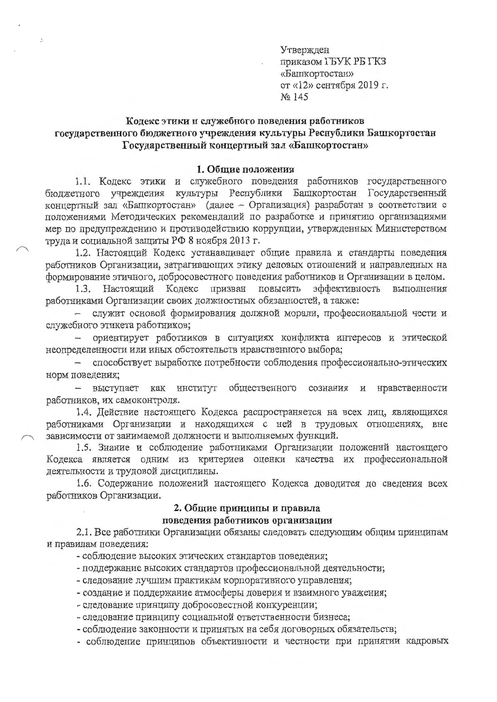Утвержден приказом ГБУК РБ ГКЗ «Башкортостан» от «12» сентября 2019 г. No 145

# Кодекс этики и служебного поведения работников государственного бюджетного учреждения культуры Республики Башкортостан Государственный концертный зал «Башкортостан»

 $\frac{\partial}{\partial x}$ 

### 1. Общие положения

1.1. Кодекс этики и служебного поведения работников государственного бюджетного учреждения культуры Республики Башкортостан Государственный концертный зал «Башкортостан» (далее - Организация) разработан в соответствии с положениями Методических рекомендаций по разработке и принятию организациями мер по предупреждению и противодействию коррупции, утвержденных Министерством труда и социальной защиты РФ 8 ноября 2013 г.

1.2. Настоящий Кодекс устанавливает общие правила и стандарты поведения работников Организации, затрагивающих этику деловых отношений и направленных на формирование этичного, добросовестного поведения работников и Организации в целом.

1.3. Настоящий Кодекс призван повысить эффективность выполнения работниками Организации своих должностных обязанностей, а также:

служит основой формирования должной морали, профессиональной чести и служебного этикета работников;

ориентирует работников в ситуациях конфликта интересов и этической неопределенности или иных обстоятельств нравственного выбора;

способствует выработке потребности соблюдения профессионально-этических  $\overline{\phantom{0}}$ норм поведения;

выступает как институт общественного сознания и нравственности работников, их самоконтроля.

1.4. Действие настоящего Кодекса распространяется на всех лиц, являющихся работниками Организации и находящихся с ней в трудовых отношениях, вне зависимости от занимаемой должности и выполняемых функций.

1.5. Знание и соблюдение работниками Организации положений настоящего Кодекса является одним из критериев оценки качества их профессиональной деятельности и трудовой дисциплины.

1.6. Содержание положений настоящего Кодекса доводится до сведения всех работников Организации.

### 2. Общие принципы и правила

## поведения работников организации

2.1. Все работники Организации обязаны следовать следующим общим принципам и правилам поведения:

- соблюдение высоких этических стандартов поведения;

- поддержание высоких стандартов профессиональной деятельности;

- следование лучшим практикам корпоративного управления;

- создание и поддержание атмосферы доверия и взаимного уважения:

- следование принципу добросовестной конкуренции;

- следование принципу социальной ответственности бизнеса;

- соблюдение законности и принятых на себя договорных обязательств;

- соблюдение принципов объективности и честности при принятии кадровых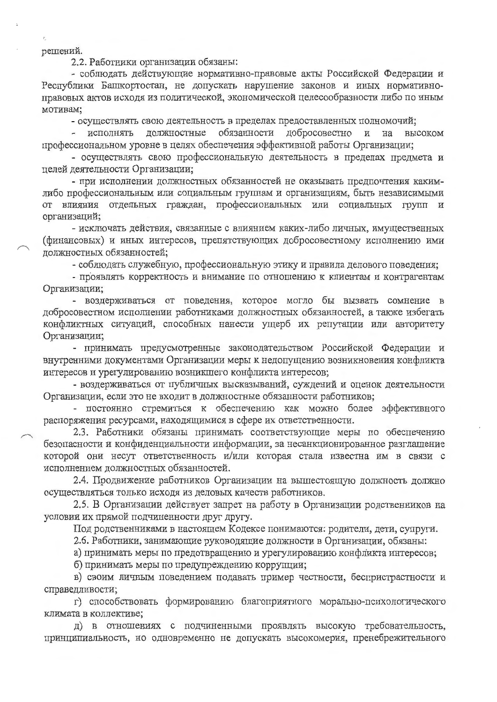#### решений.

2.2. Работники организации обязаны:

- соблюдать действующие нормативно-правовые акты Российской Федерации и Республики Башкортостан, не допускать нарушение законов и иных нормативноправовых актов исходя из политической, экономической целесообразности либо по иным мотивам;

- осуществлять свою деятельность в пределах предоставленных полномочий;

- исполнять должностные обязанности добросовестно  $\overline{M}$ на высоком профессиональном уровне в целях обеспечения эффективной работы Организации;

- осуществлять свою профессиональную деятельность в пределах предмета и целей деятельности Организации;

- при исполнении должностных обязанностей не оказывать предпочтения какимлибо профессиональным или социальным группам и организациям, быть независимыми от влияния отдельных граждан, профессиональных или социальных групп и организаций;

- исключать действия, связанные с влиянием каких-либо личных, имущественных (финансовых) и иных интересов, препятствующих добросовестному исполнению ими должностных обязанностей;

- соблюдать служебную, профессиональную этику и правила делового поведения;

- проявлять корректность и внимание по отношению к клиентам и контрагентам Организации;

- воздерживаться от поведения, которое могло бы вызвать сомнение в добросовестном исполнении работниками должностных обязанностей, а также избегать конфликтных ситуаций, способных нанести ущерб их репутации или авторитету Организации;

- принимать предусмотренные законодательством Российской Федерации и внутренними документами Организации меры к недопущению возникновения конфликта интересов и урегулированию возникшего конфликта интересов;

- воздерживаться от публичных высказываний, суждений и оценок деятельности Организации, если это не входит в должностные обязанности работников;

- постоянно стремиться к обеспечению как можно более эффективного распоряжения ресурсами, находящимися в сфере их ответственности.

2.3. Работники обязаны принимать соответствующие меры по обеспечению безопасности и конфиденциальности информации, за несанкционированное разглашение которой они несут ответственность и/или которая стала известна им в связи с исполнением должностных обязанностей.

2.4. Продвижение работников Организации на вышестоящую должность должно осуществляться только исходя из деловых качеств работников.

2.5. В Организации действует запрет на работу в Организации родственников на условии их прямой подчиненности друг другу.

Под родственниками в настоящем Кодексе понимаются: родители, дети, супруги.

2.6. Работники, занимающие руководящие должности в Организации, обязаны:

а) принимать меры по предотвращению и урегулированию конфликта интересов;

б) принимать меры по предупреждению коррупции;

в) своим личным поведением подавать пример честности, беспристрастности и справедливости;

г) способствовать формированию благоприятного морально-психологического климата в коллективе;

д) в отношениях с подчиненными проявлять высокую требовательность, принципиальность, но одновременно не допускать высокомерия, пренебрежительного